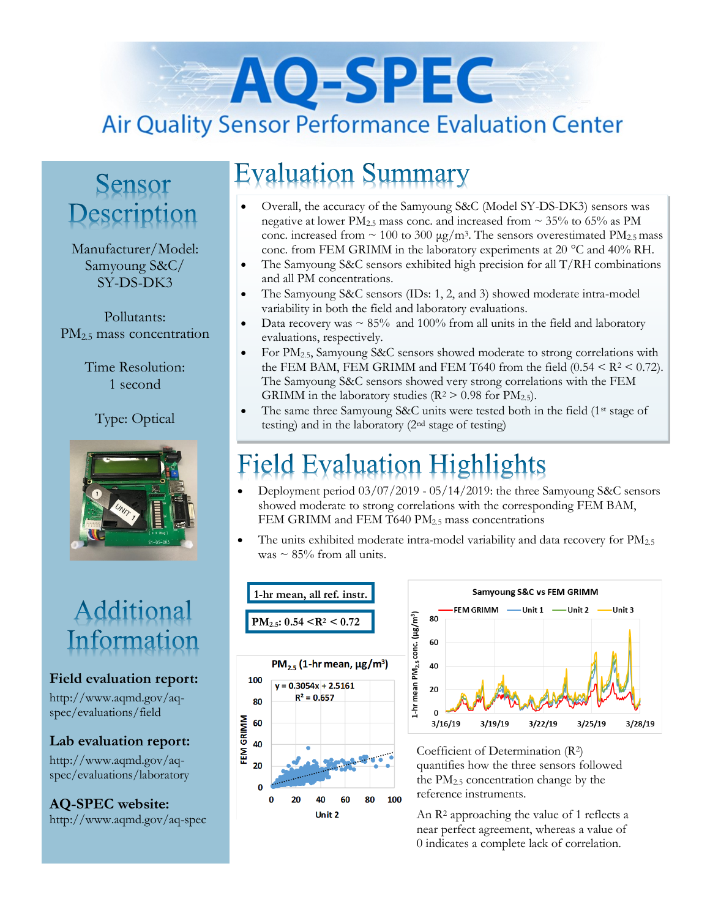# AO-SPEC **Air Quality Sensor Performance Evaluation Center**

### Sensor Description

Manufacturer/Model: Samyoung S&C/ SY-DS-DK3

Pollutants: PM<sub>2.5</sub> mass concentration

> Time Resolution: 1 second

> > Type: Optical



### Additional Information

#### **Field evaluation report:**

http://www.aqmd.gov/aqspec/evaluations/field

**Lab evaluation report:**

http://www.aqmd.gov/aqspec/evaluations/laboratory

**AQ-SPEC website:**  http://www.aqmd.gov/aq-spec

## **Evaluation Summary**

- Overall, the accuracy of the Samyoung S&C (Model SY-DS-DK3) sensors was negative at lower PM<sub>2.5</sub> mass conc. and increased from  $\sim$  35% to 65% as PM conc. increased from  $\sim 100$  to 300  $\mu$ g/m<sup>3</sup>. The sensors overestimated PM<sub>2.5</sub> mass conc. from FEM GRIMM in the laboratory experiments at 20 °C and 40% RH.
- The Samyoung S&C sensors exhibited high precision for all  $T/RH$  combinations and all PM concentrations.
- The Samyoung S&C sensors (IDs: 1, 2, and 3) showed moderate intra-model variability in both the field and laboratory evaluations.
- Data recovery was  $\sim 85\%$  and 100% from all units in the field and laboratory evaluations, respectively.
- For PM<sub>2.5</sub>, Samyoung S&C sensors showed moderate to strong correlations with the FEM BAM, FEM GRIMM and FEM T640 from the field  $(0.54 < R^2 < 0.72)$ . The Samyoung S&C sensors showed very strong correlations with the FEM GRIMM in the laboratory studies ( $R^2 > 0.98$  for  $PM_{2.5}$ ).
- The same three Samyoung S&C units were tested both in the field (1<sup>st</sup> stage of testing) and in the laboratory (2nd stage of testing)

## ield Evaluation Highlights

- Deployment period 03/07/2019 05/14/2019: the three Samyoung S&C sensors showed moderate to strong correlations with the corresponding FEM BAM, FEM GRIMM and FEM T640 PM<sub>2.5</sub> mass concentrations
- $\bullet$  The units exhibited moderate intra-model variability and data recovery for PM<sub>2.5</sub> was  $\sim$  85% from all units.





Coefficient of Determination (R2) quantifies how the three sensors followed the PM2.5 concentration change by the reference instruments.

An R<sup>2</sup> approaching the value of 1 reflects a near perfect agreement, whereas a value of 0 indicates a complete lack of correlation.